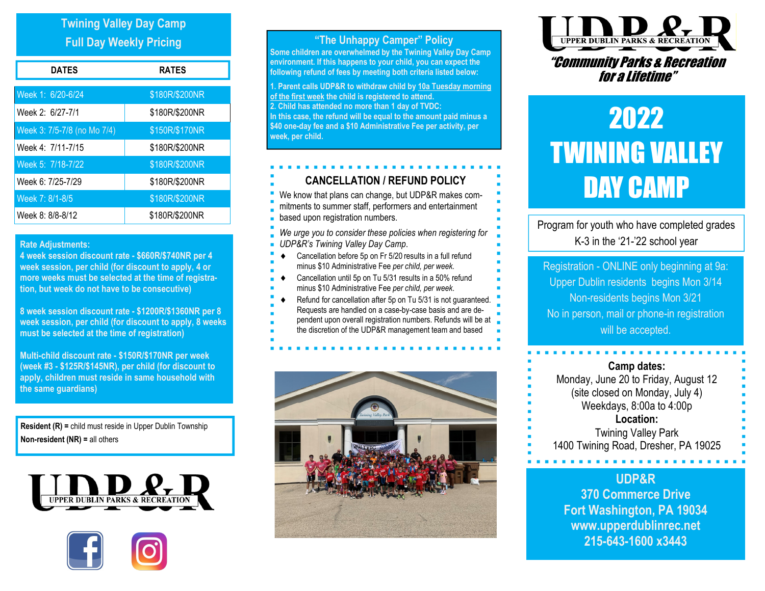# Twining Valley Day Camp Full Day Weekly Pricing

| <b>DATES</b>                | <b>RATES</b>   |
|-----------------------------|----------------|
| Week 1: 6/20-6/24           | \$180R/\$200NR |
| Week 2: 6/27-7/1            | \$180R/\$200NR |
| Week 3: 7/5-7/8 (no Mo 7/4) | \$150R/\$170NR |
| Week 4: 7/11-7/15           | \$180R/\$200NR |
| Week 5: 7/18-7/22           | \$180R/\$200NR |
| Week 6: 7/25-7/29           | \$180R/\$200NR |
| Week 7: 8/1-8/5             | \$180R/\$200NR |
| Week 8: 8/8-8/12            | \$180R/\$200NR |

#### Rate Adjustments:

4 week session discount rate - \$660R/\$740NR per 4 week session, per child (for discount to apply, 4 or more weeks must be selected at the time of registration, but week do not have to be consecutive)

8 week session discount rate - \$1200R/\$1360NR per 8 week session, per child (for discount to apply, 8 weeks must be selected at the time of registration)

Multi-child discount rate - \$150R/\$170NR per week (week #3 - \$125R/\$145NR), per child (for discount to apply, children must reside in same household with the same guardians)

Resident (R) = child must reside in Upper Dublin Township Non-resident (NR) = all others





## "The Unhappy Camper" Policy

Some children are overwhelmed by the Twining Valley Day Camp environment. If this happens to your child, you can expect the following refund of fees by meeting both criteria listed below:

1. Parent calls UDP&R to withdraw child by 10a Tuesday morning of the first week the child is registered to attend. 2. Child has attended no more than 1 day of TVDC: In this case, the refund will be equal to the amount paid minus a \$40 one-day fee and a \$10 Administrative Fee per activity, per week, per child.

## CANCELLATION / REFUND POLICY

We know that plans can change, but UDP&R makes com-

- mitments to summer staff, performers and entertainment
- based upon registration numbers.
- We urge you to consider these policies when registering for UDP&R's Twining Valley Day Camp.
- $\bullet$  Cancellation before 5p on Fr 5/20 results in a full refund minus \$10 Administrative Fee per child, per week.
- Cancellation until 5p on Tu 5/31 results in a 50% refund
- minus \$10 Administrative Fee per child, per week.
- Refund for cancellation after 5p on Tu 5/31 is not quaranteed.
- Requests are handled on a case-by-case basis and are de-
- pendent upon overall registration numbers. Refunds will be at
- the discretion of the UDP&R management team and based





# "Community Parks & Recreation for a Lifetime"

# 2022 **TWINING VALLEY** DAY CAMP

Program for youth who have completed grades K-3 in the '21-'22 school year

Registration - ONLINE only beginning at 9a: Upper Dublin residents begins Mon 3/14 Non-residents begins Mon 3/21 No in person, mail or phone-in registration will be accepted.

#### Camp dates:

Monday, June 20 to Friday, August 12 (site closed on Monday, July 4) Weekdays, 8:00a to 4:00p Location:

Twining Valley Park 1400 Twining Road, Dresher, PA 19025

# UDP&R

370 Commerce Drive Fort Washington, PA 19034 www.upperdublinrec.net 215-643-1600 x3443